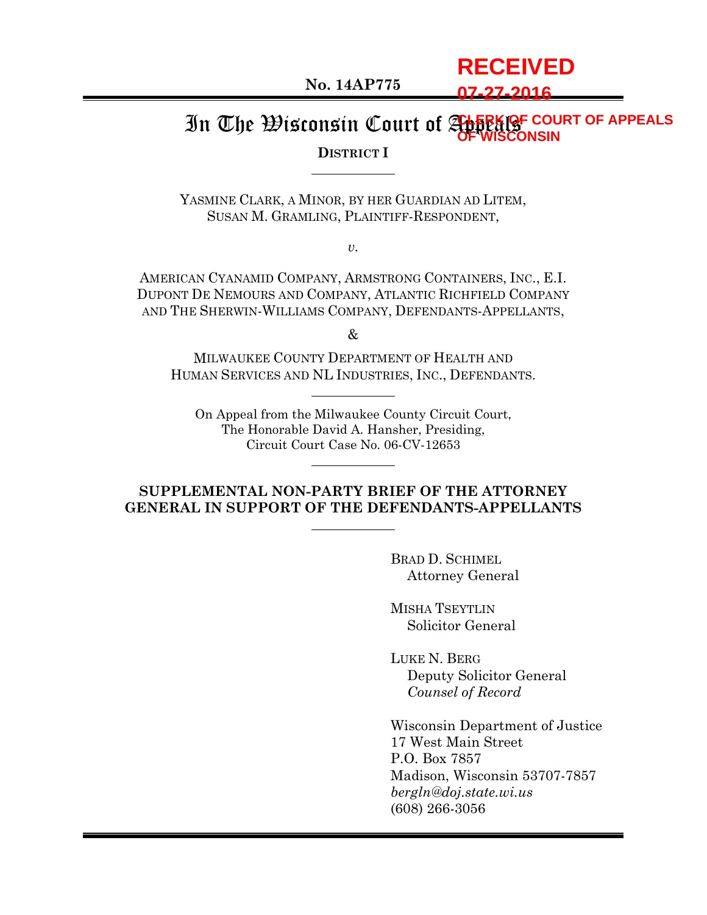**No. 14AP775**

**07-27-2016**

**RECEIVED**

#### In The Wisconsin Court of Appeals **CLERK OF COURT OF APPEALS OF WISCONSIN**

#### **DISTRICT I**

YASMINE CLARK, A MINOR, BY HER GUARDIAN AD LITEM, SUSAN M. GRAMLING, PLAINTIFF-RESPONDENT,

*v.*

AMERICAN CYANAMID COMPANY, ARMSTRONG CONTAINERS, INC., E.I. DUPONT DE NEMOURS AND COMPANY, ATLANTIC RICHFIELD COMPANY AND THE SHERWIN-WILLIAMS COMPANY, DEFENDANTS-APPELLANTS,

&

MILWAUKEE COUNTY DEPARTMENT OF HEALTH AND HUMAN SERVICES AND NL INDUSTRIES, INC., DEFENDANTS.

On Appeal from the Milwaukee County Circuit Court, The Honorable David A. Hansher, Presiding, Circuit Court Case No. 06-CV-12653

#### **SUPPLEMENTAL NON-PARTY BRIEF OF THE ATTORNEY GENERAL IN SUPPORT OF THE DEFENDANTS-APPELLANTS**

BRAD D. SCHIMEL Attorney General

MISHA TSEYTLIN Solicitor General

LUKE N. BERG Deputy Solicitor General *Counsel of Record*

Wisconsin Department of Justice 17 West Main Street P.O. Box 7857 Madison, Wisconsin 53707-7857 *bergln@doj.state.wi.us* (608) 266-3056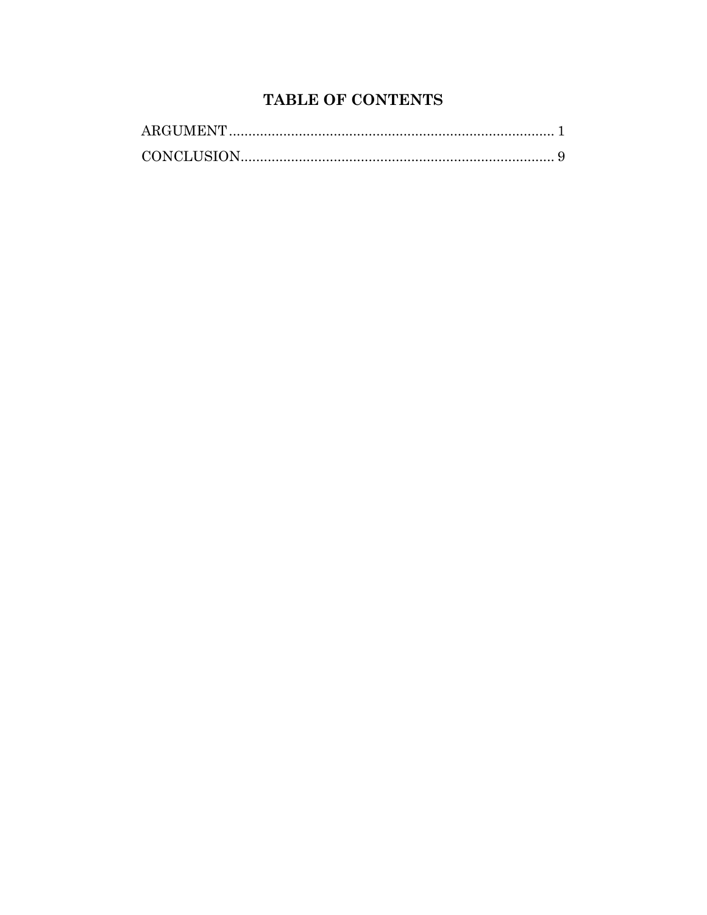# TABLE OF CONTENTS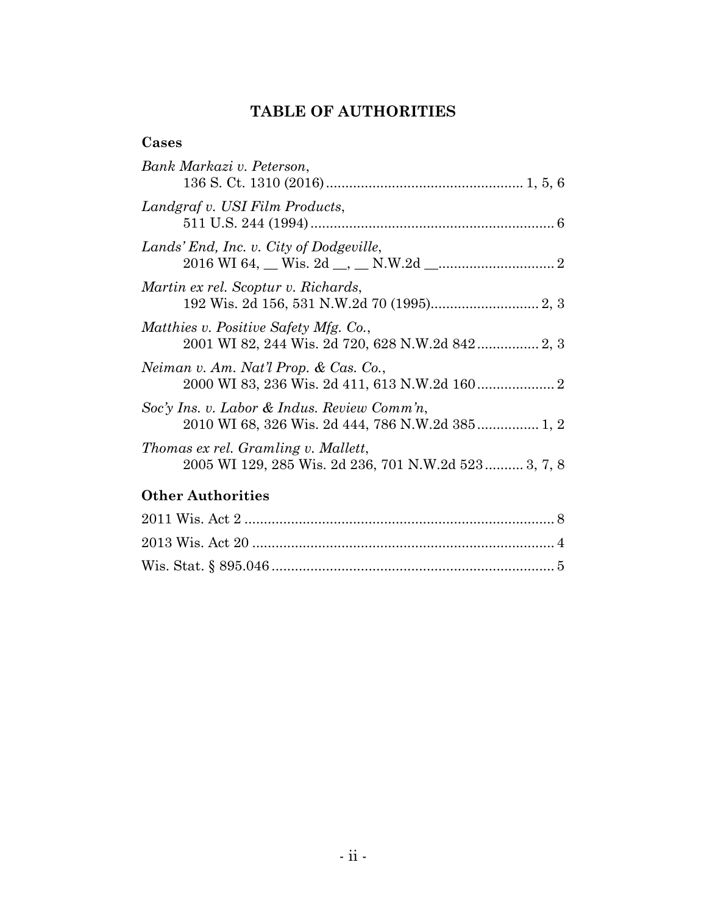# **TABLE OF AUTHORITIES**

# **Cases**

| Bank Markazi v. Peterson,                                                                       |
|-------------------------------------------------------------------------------------------------|
|                                                                                                 |
| Landgraf v. USI Film Products,                                                                  |
| Lands' End, Inc. v. City of Dodgeville,                                                         |
| Martin ex rel. Scoptur v. Richards,                                                             |
| Matthies v. Positive Safety Mfg. Co.,                                                           |
| Neiman v. Am. Nat'l Prop. & Cas. Co.,                                                           |
| Soc'y Ins. v. Labor & Indus. Review Comm'n,<br>2010 WI 68, 326 Wis. 2d 444, 786 N.W.2d 385 1, 2 |
| Thomas ex rel. Gramling v. Mallett,<br>2005 WI 129, 285 Wis. 2d 236, 701 N.W.2d 523 3, 7, 8     |
| <b>Other Authorities</b>                                                                        |
|                                                                                                 |
|                                                                                                 |

Wis. Stat. § 895.046 ......................................................................... 5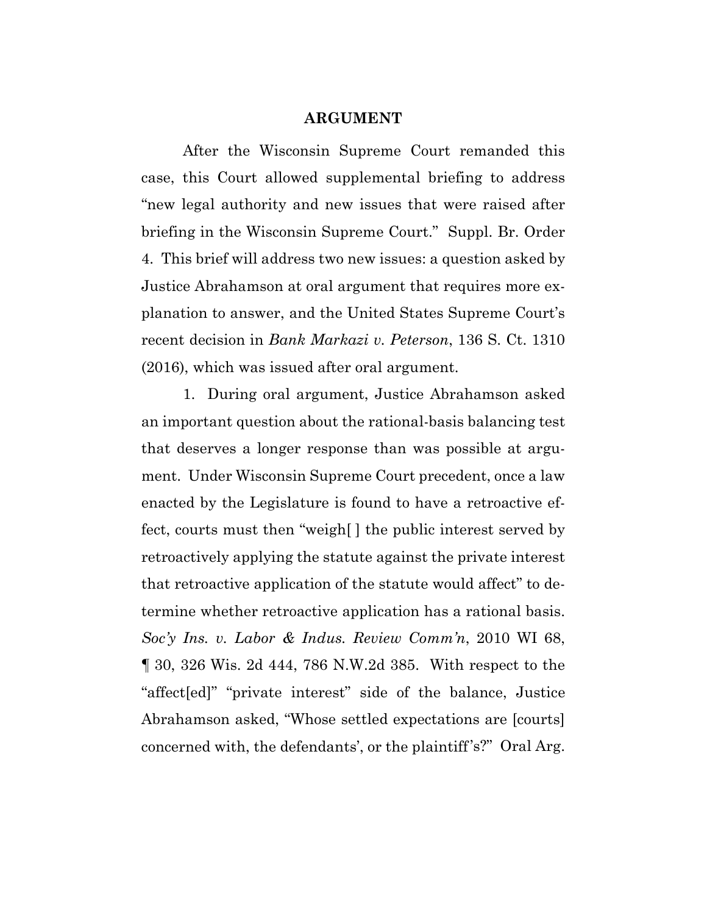#### **ARGUMENT**

After the Wisconsin Supreme Court remanded this case, this Court allowed supplemental briefing to address "new legal authority and new issues that were raised after briefing in the Wisconsin Supreme Court." Suppl. Br. Order 4. This brief will address two new issues: a question asked by Justice Abrahamson at oral argument that requires more explanation to answer, and the United States Supreme Court's recent decision in *Bank Markazi v. Peterson*, 136 S. Ct. 1310 (2016), which was issued after oral argument.

1. During oral argument, Justice Abrahamson asked an important question about the rational-basis balancing test that deserves a longer response than was possible at argument. Under Wisconsin Supreme Court precedent, once a law enacted by the Legislature is found to have a retroactive effect, courts must then "weigh[ ] the public interest served by retroactively applying the statute against the private interest that retroactive application of the statute would affect" to determine whether retroactive application has a rational basis. *Soc'y Ins. v. Labor & Indus. Review Comm'n*, 2010 WI 68, ¶ 30, 326 Wis. 2d 444, 786 N.W.2d 385. With respect to the "affect[ed]" "private interest" side of the balance, Justice Abrahamson asked, "Whose settled expectations are [courts] concerned with, the defendants', or the plaintiff's?" Oral Arg.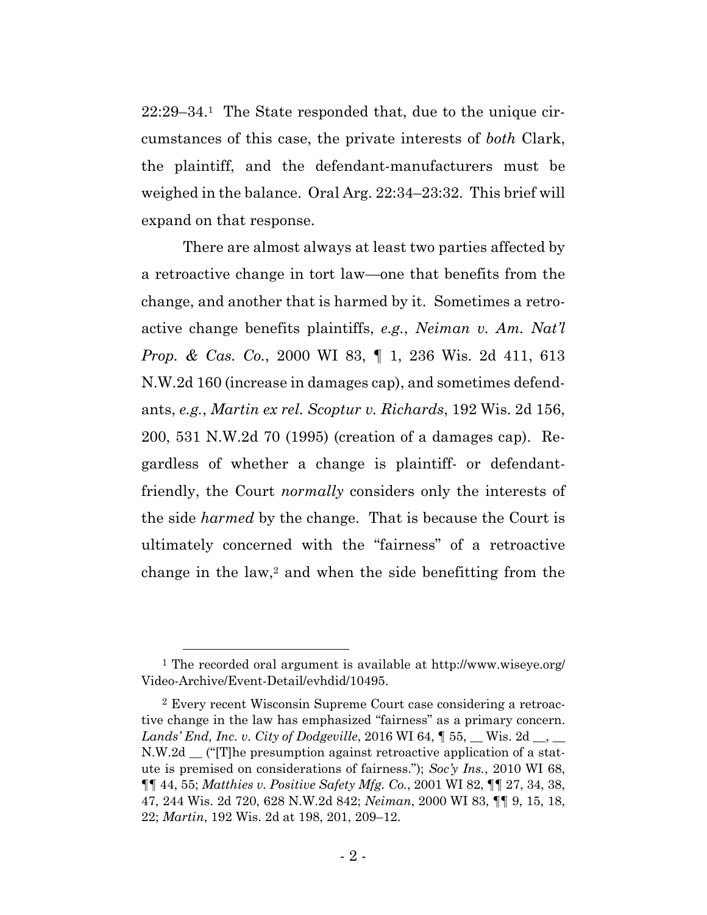22:29–34.1 The State responded that, due to the unique circumstances of this case, the private interests of *both* Clark, the plaintiff, and the defendant-manufacturers must be weighed in the balance. Oral Arg. 22:34–23:32. This brief will expand on that response.

There are almost always at least two parties affected by a retroactive change in tort law—one that benefits from the change, and another that is harmed by it. Sometimes a retroactive change benefits plaintiffs, *e.g.*, *Neiman v. Am. Nat'l Prop. & Cas. Co.*, 2000 WI 83, ¶ 1, 236 Wis. 2d 411, 613 N.W.2d 160 (increase in damages cap), and sometimes defendants, *e.g.*, *Martin ex rel. Scoptur v. Richards*, 192 Wis. 2d 156, 200, 531 N.W.2d 70 (1995) (creation of a damages cap). Regardless of whether a change is plaintiff- or defendantfriendly, the Court *normally* considers only the interests of the side *harmed* by the change. That is because the Court is ultimately concerned with the "fairness" of a retroactive change in the law,<sup>2</sup> and when the side benefitting from the

 <sup>1</sup> The recorded oral argument is available at http://www.wiseye.org/ Video-Archive/Event-Detail/evhdid/10495.

<sup>2</sup> Every recent Wisconsin Supreme Court case considering a retroactive change in the law has emphasized "fairness" as a primary concern. *Lands' End, Inc. v. City of Dodgeville,* 2016 WI 64,  $\parallel$  55, \_\_ Wis. 2d \_\_, \_\_ N.W.2d \_\_ ("[T]he presumption against retroactive application of a statute is premised on considerations of fairness."); *Soc'y Ins.*, 2010 WI 68, ¶¶ 44, 55; *Matthies v. Positive Safety Mfg. Co.*, 2001 WI 82, ¶¶ 27, 34, 38, 47, 244 Wis. 2d 720, 628 N.W.2d 842; *Neiman*, 2000 WI 83, ¶¶ 9, 15, 18, 22; *Martin*, 192 Wis. 2d at 198, 201, 209–12.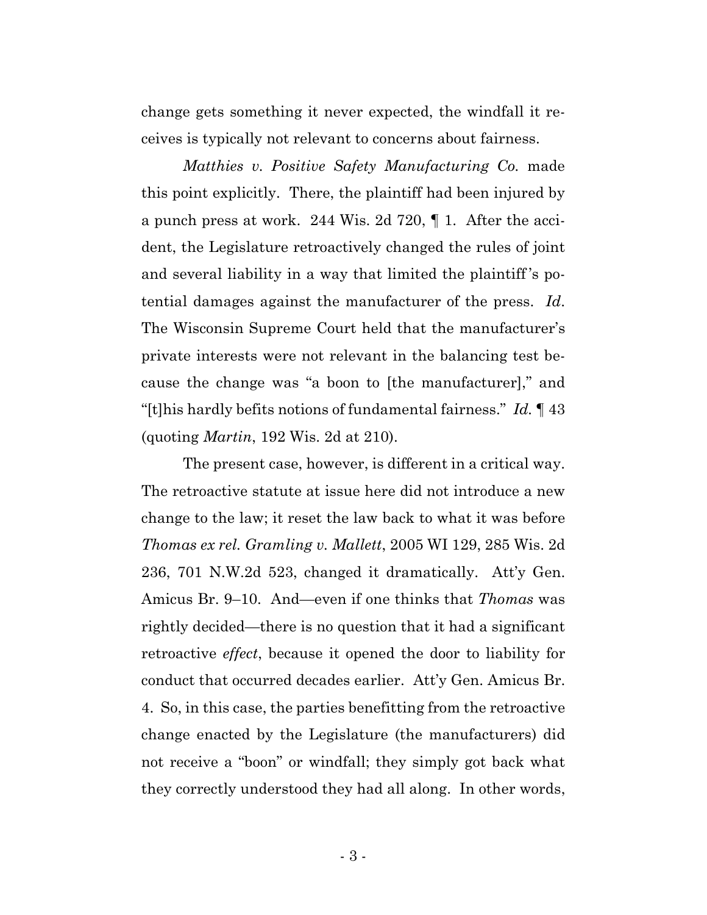change gets something it never expected, the windfall it receives is typically not relevant to concerns about fairness.

*Matthies v. Positive Safety Manufacturing Co.* made this point explicitly. There, the plaintiff had been injured by a punch press at work. 244 Wis. 2d 720, ¶ 1. After the accident, the Legislature retroactively changed the rules of joint and several liability in a way that limited the plaintiff 's potential damages against the manufacturer of the press. *Id*. The Wisconsin Supreme Court held that the manufacturer's private interests were not relevant in the balancing test because the change was "a boon to [the manufacturer]," and "[t]his hardly befits notions of fundamental fairness." *Id.* ¶ 43 (quoting *Martin*, 192 Wis. 2d at 210).

The present case, however, is different in a critical way. The retroactive statute at issue here did not introduce a new change to the law; it reset the law back to what it was before *Thomas ex rel. Gramling v. Mallett*, 2005 WI 129, 285 Wis. 2d 236, 701 N.W.2d 523, changed it dramatically. Att'y Gen. Amicus Br. 9–10. And—even if one thinks that *Thomas* was rightly decided—there is no question that it had a significant retroactive *effect*, because it opened the door to liability for conduct that occurred decades earlier. Att'y Gen. Amicus Br. 4. So, in this case, the parties benefitting from the retroactive change enacted by the Legislature (the manufacturers) did not receive a "boon" or windfall; they simply got back what they correctly understood they had all along. In other words,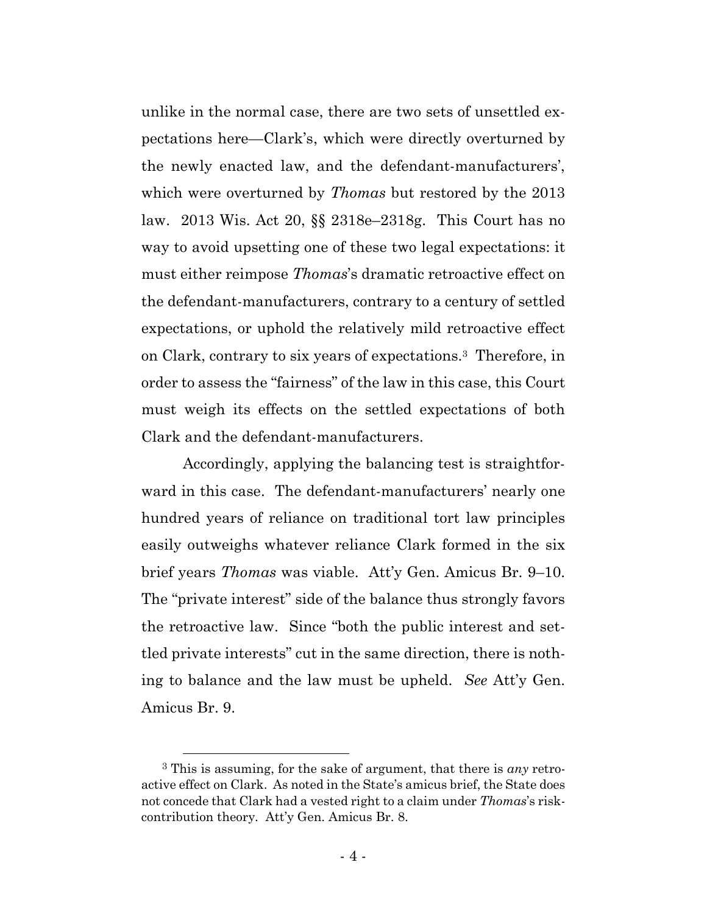unlike in the normal case, there are two sets of unsettled expectations here—Clark's, which were directly overturned by the newly enacted law, and the defendant-manufacturers', which were overturned by *Thomas* but restored by the 2013 law. 2013 Wis. Act 20, §§ 2318e–2318g. This Court has no way to avoid upsetting one of these two legal expectations: it must either reimpose *Thomas*'s dramatic retroactive effect on the defendant-manufacturers, contrary to a century of settled expectations, or uphold the relatively mild retroactive effect on Clark, contrary to six years of expectations.3 Therefore, in order to assess the "fairness" of the law in this case, this Court must weigh its effects on the settled expectations of both Clark and the defendant-manufacturers.

Accordingly, applying the balancing test is straightforward in this case. The defendant-manufacturers' nearly one hundred years of reliance on traditional tort law principles easily outweighs whatever reliance Clark formed in the six brief years *Thomas* was viable. Att'y Gen. Amicus Br. 9–10. The "private interest" side of the balance thus strongly favors the retroactive law. Since "both the public interest and settled private interests" cut in the same direction, there is nothing to balance and the law must be upheld. *See* Att'y Gen. Amicus Br. 9.

 <sup>3</sup> This is assuming, for the sake of argument, that there is *any* retroactive effect on Clark. As noted in the State's amicus brief, the State does not concede that Clark had a vested right to a claim under *Thomas*'s riskcontribution theory. Att'y Gen. Amicus Br. 8.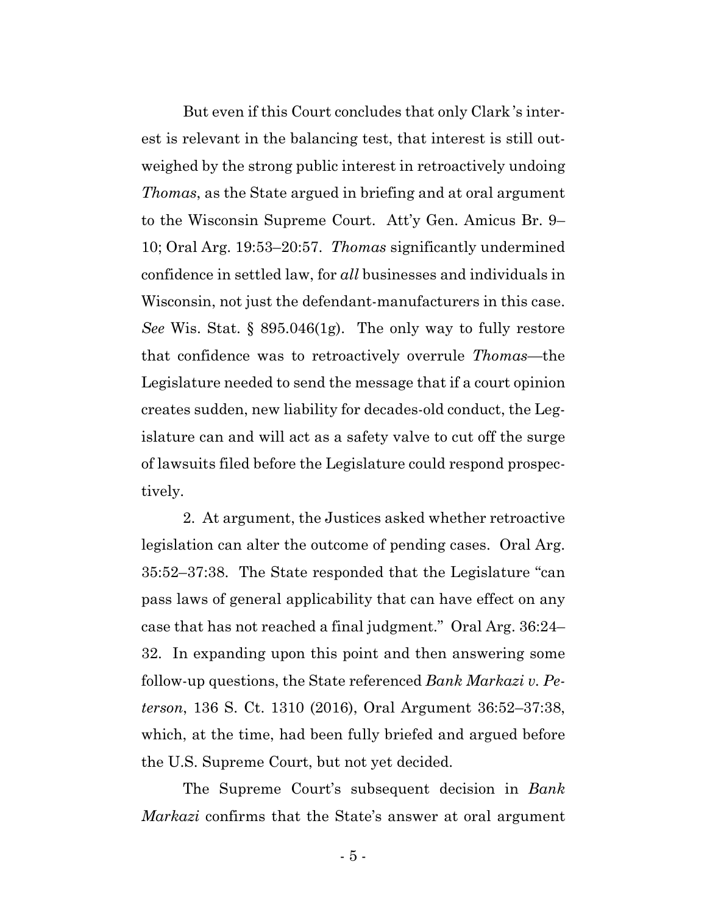But even if this Court concludes that only Clark 's interest is relevant in the balancing test, that interest is still outweighed by the strong public interest in retroactively undoing *Thomas*, as the State argued in briefing and at oral argument to the Wisconsin Supreme Court. Att'y Gen. Amicus Br. 9– 10; Oral Arg. 19:53–20:57. *Thomas* significantly undermined confidence in settled law, for *all* businesses and individuals in Wisconsin, not just the defendant-manufacturers in this case. *See* Wis. Stat. § 895.046(1g). The only way to fully restore that confidence was to retroactively overrule *Thomas*—the Legislature needed to send the message that if a court opinion creates sudden, new liability for decades-old conduct, the Legislature can and will act as a safety valve to cut off the surge of lawsuits filed before the Legislature could respond prospectively.

2. At argument, the Justices asked whether retroactive legislation can alter the outcome of pending cases. Oral Arg. 35:52–37:38. The State responded that the Legislature "can pass laws of general applicability that can have effect on any case that has not reached a final judgment." Oral Arg. 36:24– 32. In expanding upon this point and then answering some follow-up questions, the State referenced *Bank Markazi v. Peterson*, 136 S. Ct. 1310 (2016), Oral Argument 36:52–37:38, which, at the time, had been fully briefed and argued before the U.S. Supreme Court, but not yet decided.

The Supreme Court's subsequent decision in *Bank Markazi* confirms that the State's answer at oral argument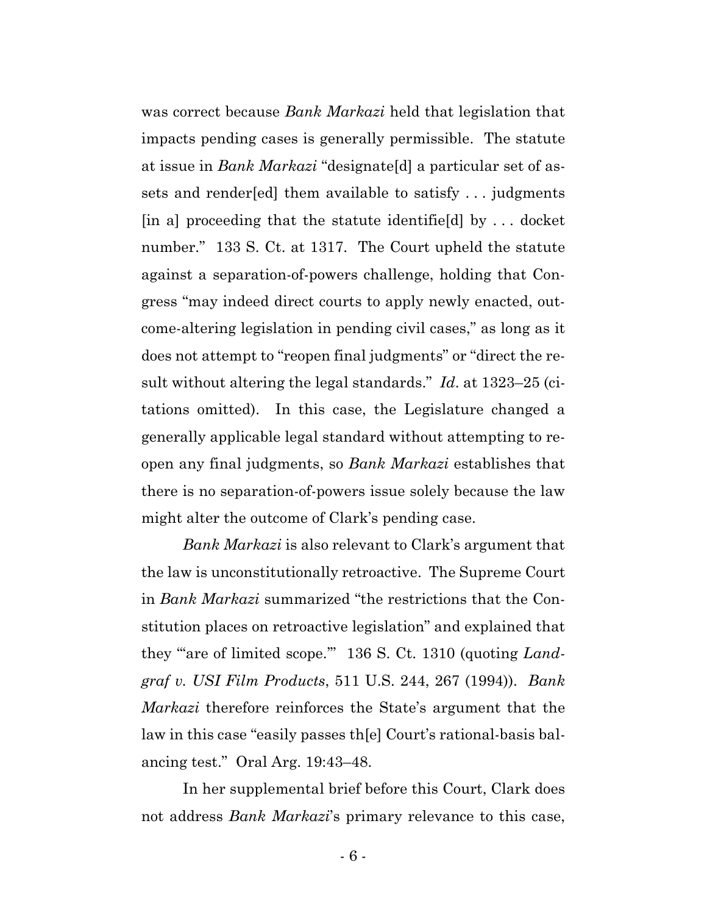was correct because *Bank Markazi* held that legislation that impacts pending cases is generally permissible. The statute at issue in *Bank Markazi* "designate[d] a particular set of assets and render[ed] them available to satisfy . . . judgments [in a] proceeding that the statute identifie[d] by . . . docket number." 133 S. Ct. at 1317. The Court upheld the statute against a separation-of-powers challenge, holding that Congress "may indeed direct courts to apply newly enacted, outcome-altering legislation in pending civil cases," as long as it does not attempt to "reopen final judgments" or "direct the result without altering the legal standards." *Id*. at 1323–25 (citations omitted). In this case, the Legislature changed a generally applicable legal standard without attempting to reopen any final judgments, so *Bank Markazi* establishes that there is no separation-of-powers issue solely because the law might alter the outcome of Clark's pending case.

*Bank Markazi* is also relevant to Clark's argument that the law is unconstitutionally retroactive. The Supreme Court in *Bank Markazi* summarized "the restrictions that the Constitution places on retroactive legislation" and explained that they "are of limited scope." 136 S. Ct. 1310 (quoting *Landgraf v. USI Film Products*, 511 U.S. 244, 267 (1994)). *Bank Markazi* therefore reinforces the State's argument that the law in this case "easily passes th[e] Court's rational-basis balancing test." Oral Arg. 19:43–48.

In her supplemental brief before this Court, Clark does not address *Bank Markazi*'s primary relevance to this case,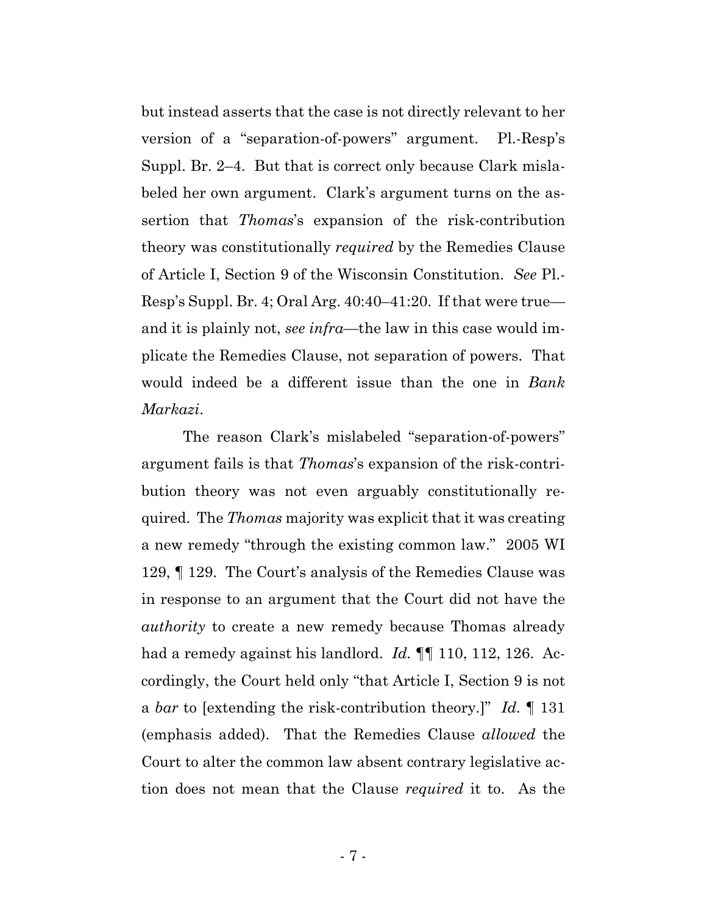but instead asserts that the case is not directly relevant to her version of a "separation-of-powers" argument. Pl.-Resp's Suppl. Br. 2–4. But that is correct only because Clark mislabeled her own argument. Clark's argument turns on the assertion that *Thomas*'s expansion of the risk-contribution theory was constitutionally *required* by the Remedies Clause of Article I, Section 9 of the Wisconsin Constitution. *See* Pl.- Resp's Suppl. Br. 4; Oral Arg. 40:40–41:20. If that were true and it is plainly not, *see infra*—the law in this case would implicate the Remedies Clause, not separation of powers. That would indeed be a different issue than the one in *Bank Markazi*.

The reason Clark's mislabeled "separation-of-powers" argument fails is that *Thomas*'s expansion of the risk-contribution theory was not even arguably constitutionally required. The *Thomas* majority was explicit that it was creating a new remedy "through the existing common law." 2005 WI 129, ¶ 129. The Court's analysis of the Remedies Clause was in response to an argument that the Court did not have the *authority* to create a new remedy because Thomas already had a remedy against his landlord. *Id.* ¶¶ 110, 112, 126. Accordingly, the Court held only "that Article I, Section 9 is not a *bar* to [extending the risk-contribution theory.]" *Id.* ¶ 131 (emphasis added). That the Remedies Clause *allowed* the Court to alter the common law absent contrary legislative action does not mean that the Clause *required* it to. As the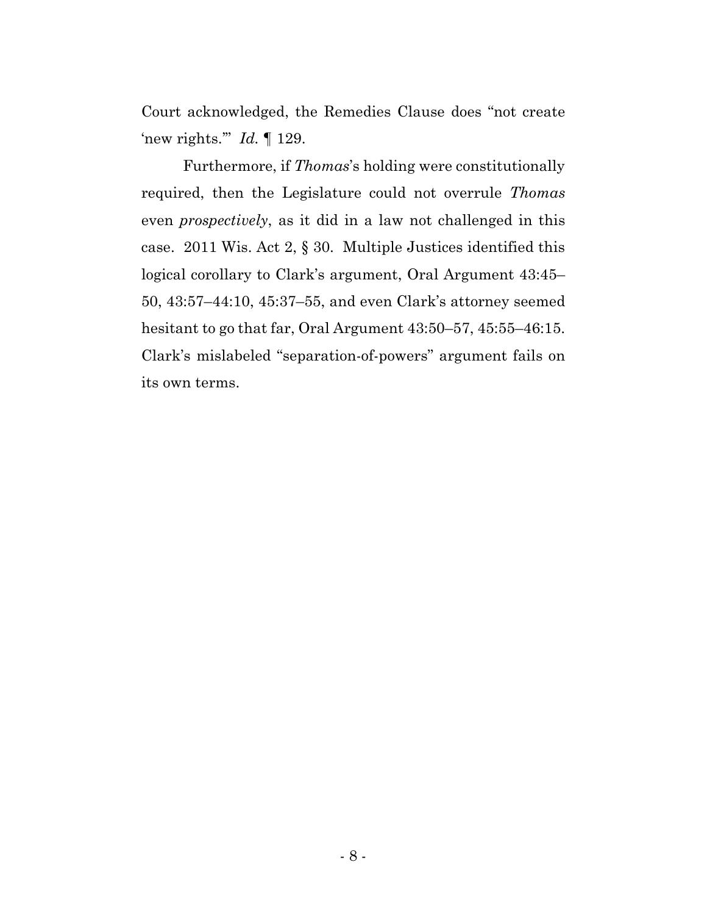Court acknowledged, the Remedies Clause does "not create 'new rights.'" *Id.* ¶ 129.

Furthermore, if *Thomas*'s holding were constitutionally required, then the Legislature could not overrule *Thomas* even *prospectively*, as it did in a law not challenged in this case. 2011 Wis. Act 2, § 30. Multiple Justices identified this logical corollary to Clark's argument, Oral Argument 43:45– 50, 43:57–44:10, 45:37–55, and even Clark's attorney seemed hesitant to go that far, Oral Argument 43:50–57, 45:55–46:15. Clark's mislabeled "separation-of-powers" argument fails on its own terms.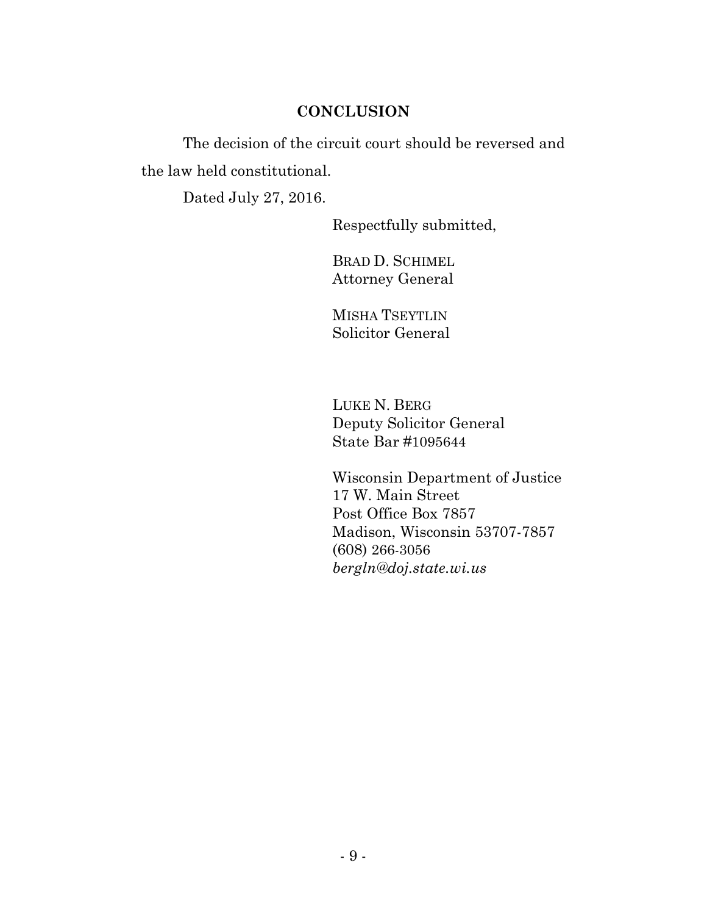### **CONCLUSION**

The decision of the circuit court should be reversed and the law held constitutional.

Dated July 27, 2016.

Respectfully submitted,

BRAD D. SCHIMEL Attorney General

MISHA TSEYTLIN Solicitor General

LUKE N. BERG Deputy Solicitor General State Bar #1095644

Wisconsin Department of Justice 17 W. Main Street Post Office Box 7857 Madison, Wisconsin 53707-7857 (608) 266-3056 *bergln@doj.state.wi.us*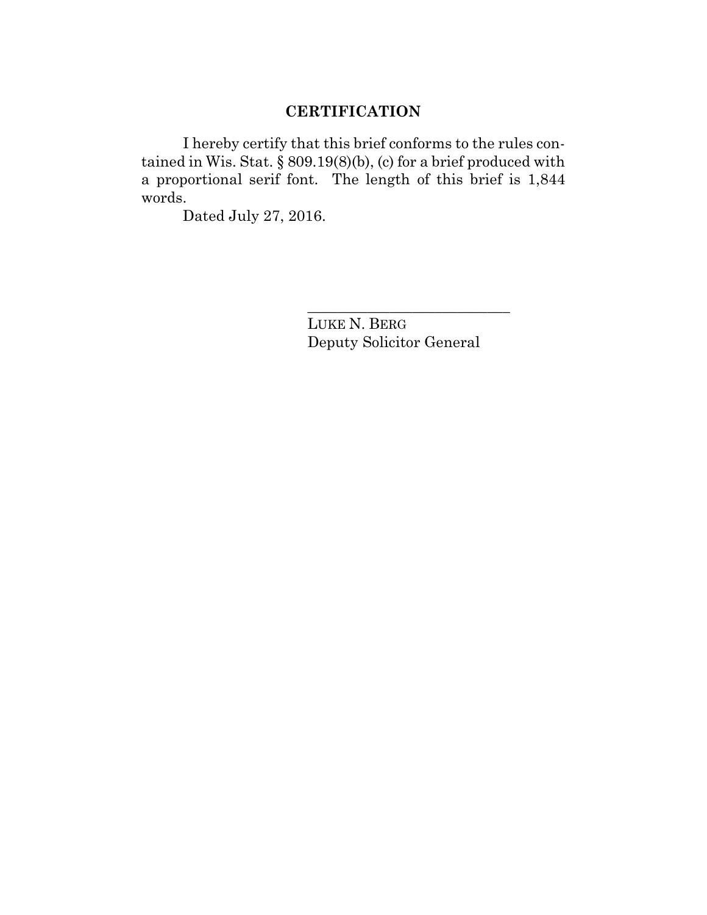# **CERTIFICATION**

I hereby certify that this brief conforms to the rules contained in Wis. Stat.  $\S 809.19(8)(b)$ , (c) for a brief produced with a proportional serif font. The length of this brief is 1,844 words.

Dated July 27, 2016.

LUKE N. BERG Deputy Solicitor General

\_\_\_\_\_\_\_\_\_\_\_\_\_\_\_\_\_\_\_\_\_\_\_\_\_\_\_